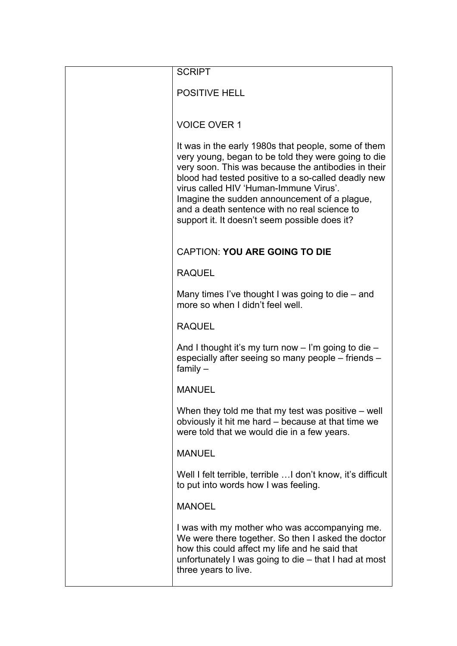| <b>SCRIPT</b>                                                                                                                                                                                                                                                                                                                                                                                                       |
|---------------------------------------------------------------------------------------------------------------------------------------------------------------------------------------------------------------------------------------------------------------------------------------------------------------------------------------------------------------------------------------------------------------------|
| <b>POSITIVE HELL</b>                                                                                                                                                                                                                                                                                                                                                                                                |
| <b>VOICE OVER 1</b>                                                                                                                                                                                                                                                                                                                                                                                                 |
| It was in the early 1980s that people, some of them<br>very young, began to be told they were going to die<br>very soon. This was because the antibodies in their<br>blood had tested positive to a so-called deadly new<br>virus called HIV 'Human-Immune Virus'.<br>Imagine the sudden announcement of a plague,<br>and a death sentence with no real science to<br>support it. It doesn't seem possible does it? |
| <b>CAPTION: YOU ARE GOING TO DIE</b>                                                                                                                                                                                                                                                                                                                                                                                |
| <b>RAQUEL</b>                                                                                                                                                                                                                                                                                                                                                                                                       |
| Many times I've thought I was going to die $-$ and<br>more so when I didn't feel well.                                                                                                                                                                                                                                                                                                                              |
| <b>RAQUEL</b>                                                                                                                                                                                                                                                                                                                                                                                                       |
| And I thought it's my turn now $-$ I'm going to die $-$<br>especially after seeing so many people – friends –<br>family $-$                                                                                                                                                                                                                                                                                         |
| <b>MANUEL</b>                                                                                                                                                                                                                                                                                                                                                                                                       |
| When they told me that my test was positive - well<br>obviously it hit me hard - because at that time we<br>were told that we would die in a few years.                                                                                                                                                                                                                                                             |
| <b>MANUEL</b>                                                                                                                                                                                                                                                                                                                                                                                                       |
| Well I felt terrible, terrible  I don't know, it's difficult<br>to put into words how I was feeling.                                                                                                                                                                                                                                                                                                                |
| <b>MANOEL</b>                                                                                                                                                                                                                                                                                                                                                                                                       |
| I was with my mother who was accompanying me.<br>We were there together. So then I asked the doctor<br>how this could affect my life and he said that<br>unfortunately I was going to die - that I had at most<br>three years to live.                                                                                                                                                                              |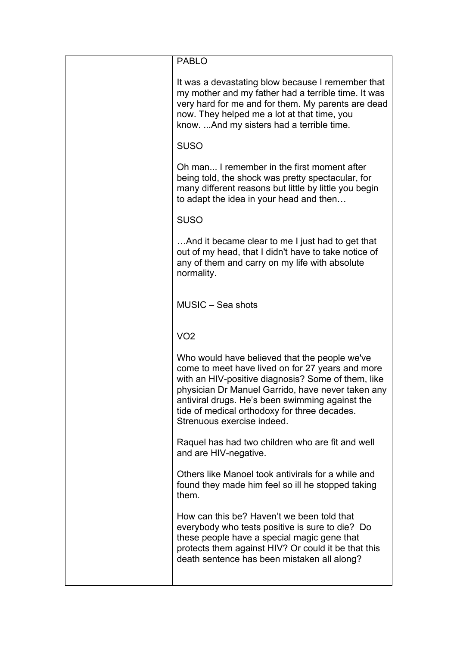| <b>PABLO</b>                                                                                                                                                                                                                                                                                                                                  |
|-----------------------------------------------------------------------------------------------------------------------------------------------------------------------------------------------------------------------------------------------------------------------------------------------------------------------------------------------|
| It was a devastating blow because I remember that<br>my mother and my father had a terrible time. It was<br>very hard for me and for them. My parents are dead<br>now. They helped me a lot at that time, you<br>know.  And my sisters had a terrible time.                                                                                   |
| <b>SUSO</b>                                                                                                                                                                                                                                                                                                                                   |
| Oh man I remember in the first moment after<br>being told, the shock was pretty spectacular, for<br>many different reasons but little by little you begin<br>to adapt the idea in your head and then                                                                                                                                          |
| <b>SUSO</b>                                                                                                                                                                                                                                                                                                                                   |
| And it became clear to me I just had to get that<br>out of my head, that I didn't have to take notice of<br>any of them and carry on my life with absolute<br>normality.                                                                                                                                                                      |
| MUSIC - Sea shots                                                                                                                                                                                                                                                                                                                             |
| VO2                                                                                                                                                                                                                                                                                                                                           |
| Who would have believed that the people we've<br>come to meet have lived on for 27 years and more<br>with an HIV-positive diagnosis? Some of them, like<br>physician Dr Manuel Garrido, have never taken any<br>antiviral drugs. He's been swimming against the<br>tide of medical orthodoxy for three decades.<br>Strenuous exercise indeed. |
| Raquel has had two children who are fit and well<br>and are HIV-negative.                                                                                                                                                                                                                                                                     |
| Others like Manoel took antivirals for a while and<br>found they made him feel so ill he stopped taking<br>them.                                                                                                                                                                                                                              |
| How can this be? Haven't we been told that<br>everybody who tests positive is sure to die? Do<br>these people have a special magic gene that<br>protects them against HIV? Or could it be that this<br>death sentence has been mistaken all along?                                                                                            |
|                                                                                                                                                                                                                                                                                                                                               |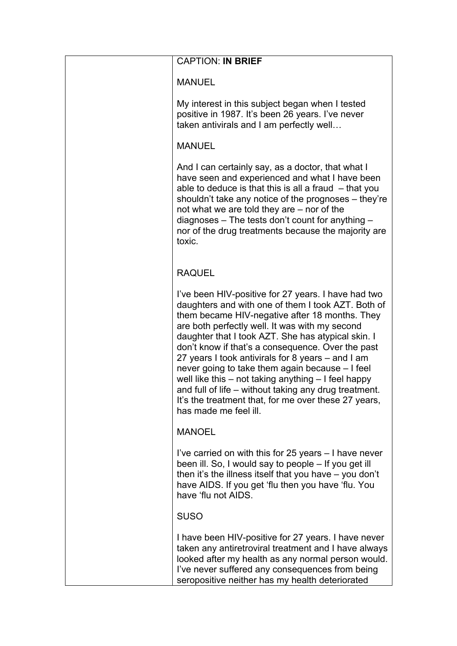| <b>CAPTION: IN BRIEF</b>                                                                                                                                                                                                                                                                                                                                                                                                                                                                                                                                                                                                              |
|---------------------------------------------------------------------------------------------------------------------------------------------------------------------------------------------------------------------------------------------------------------------------------------------------------------------------------------------------------------------------------------------------------------------------------------------------------------------------------------------------------------------------------------------------------------------------------------------------------------------------------------|
| <b>MANUEL</b>                                                                                                                                                                                                                                                                                                                                                                                                                                                                                                                                                                                                                         |
| My interest in this subject began when I tested<br>positive in 1987. It's been 26 years. I've never<br>taken antivirals and I am perfectly well                                                                                                                                                                                                                                                                                                                                                                                                                                                                                       |
| <b>MANUEL</b>                                                                                                                                                                                                                                                                                                                                                                                                                                                                                                                                                                                                                         |
| And I can certainly say, as a doctor, that what I<br>have seen and experienced and what I have been<br>able to deduce is that this is all a fraud $-$ that you<br>shouldn't take any notice of the prognoses – they're<br>not what we are told they are – nor of the<br>diagnoses $-$ The tests don't count for anything $-$<br>nor of the drug treatments because the majority are<br>toxic.                                                                                                                                                                                                                                         |
| <b>RAQUEL</b>                                                                                                                                                                                                                                                                                                                                                                                                                                                                                                                                                                                                                         |
| I've been HIV-positive for 27 years. I have had two<br>daughters and with one of them I took AZT. Both of<br>them became HIV-negative after 18 months. They<br>are both perfectly well. It was with my second<br>daughter that I took AZT. She has atypical skin. I<br>don't know if that's a consequence. Over the past<br>27 years I took antivirals for 8 years – and I am<br>never going to take them again because – I feel<br>well like this $-$ not taking anything $-$ I feel happy<br>and full of life – without taking any drug treatment.<br>It's the treatment that, for me over these 27 years,<br>has made me feel ill. |
| <b>MANOEL</b>                                                                                                                                                                                                                                                                                                                                                                                                                                                                                                                                                                                                                         |
| I've carried on with this for 25 years – I have never<br>been ill. So, I would say to people - If you get ill<br>then it's the illness itself that you have $-$ you don't<br>have AIDS. If you get 'flu then you have 'flu. You<br>have 'flu not AIDS.                                                                                                                                                                                                                                                                                                                                                                                |
| <b>SUSO</b>                                                                                                                                                                                                                                                                                                                                                                                                                                                                                                                                                                                                                           |
| I have been HIV-positive for 27 years. I have never<br>taken any antiretroviral treatment and I have always<br>looked after my health as any normal person would.<br>I've never suffered any consequences from being<br>seropositive neither has my health deteriorated                                                                                                                                                                                                                                                                                                                                                               |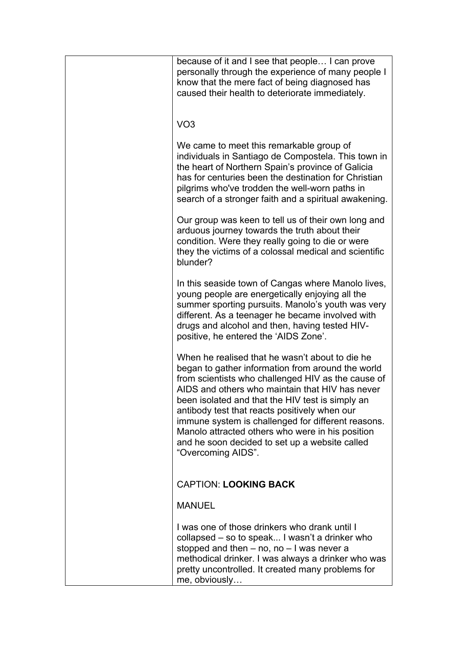| because of it and I see that people I can prove<br>personally through the experience of many people I<br>know that the mere fact of being diagnosed has<br>caused their health to deteriorate immediately.                                                                                                                                                                                                                                                                                           |
|------------------------------------------------------------------------------------------------------------------------------------------------------------------------------------------------------------------------------------------------------------------------------------------------------------------------------------------------------------------------------------------------------------------------------------------------------------------------------------------------------|
| VO <sub>3</sub>                                                                                                                                                                                                                                                                                                                                                                                                                                                                                      |
| We came to meet this remarkable group of<br>individuals in Santiago de Compostela. This town in<br>the heart of Northern Spain's province of Galicia<br>has for centuries been the destination for Christian<br>pilgrims who've trodden the well-worn paths in<br>search of a stronger faith and a spiritual awakening.                                                                                                                                                                              |
| Our group was keen to tell us of their own long and<br>arduous journey towards the truth about their<br>condition. Were they really going to die or were<br>they the victims of a colossal medical and scientific<br>blunder?                                                                                                                                                                                                                                                                        |
| In this seaside town of Cangas where Manolo lives,<br>young people are energetically enjoying all the<br>summer sporting pursuits. Manolo's youth was very<br>different. As a teenager he became involved with<br>drugs and alcohol and then, having tested HIV-<br>positive, he entered the 'AIDS Zone'.                                                                                                                                                                                            |
| When he realised that he wasn't about to die he<br>began to gather information from around the world<br>from scientists who challenged HIV as the cause of<br>AIDS and others who maintain that HIV has never<br>been isolated and that the HIV test is simply an<br>antibody test that reacts positively when our<br>immune system is challenged for different reasons.<br>Manolo attracted others who were in his position<br>and he soon decided to set up a website called<br>"Overcoming AIDS". |
| <b>CAPTION: LOOKING BACK</b>                                                                                                                                                                                                                                                                                                                                                                                                                                                                         |
| <b>MANUEL</b>                                                                                                                                                                                                                                                                                                                                                                                                                                                                                        |
| I was one of those drinkers who drank until I<br>collapsed – so to speak I wasn't a drinker who<br>stopped and then $-$ no, no $-$ I was never a<br>methodical drinker. I was always a drinker who was<br>pretty uncontrolled. It created many problems for<br>me, obviously                                                                                                                                                                                                                         |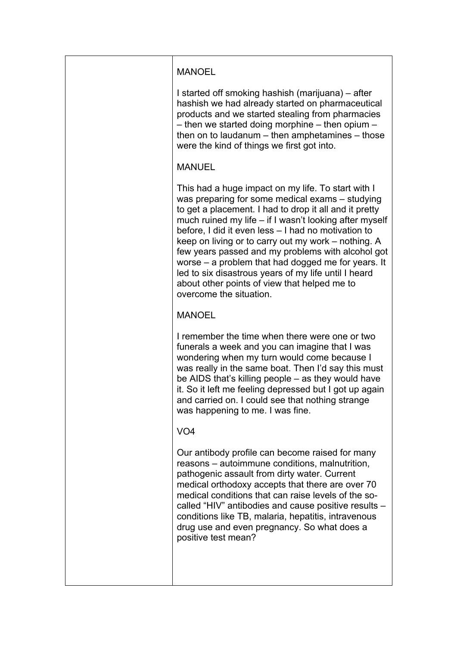| <b>MANOEL</b>                                                                                                                                                                                                                                                                                                                                                                                                                                                                                                                                                                         |
|---------------------------------------------------------------------------------------------------------------------------------------------------------------------------------------------------------------------------------------------------------------------------------------------------------------------------------------------------------------------------------------------------------------------------------------------------------------------------------------------------------------------------------------------------------------------------------------|
| I started off smoking hashish (marijuana) – after<br>hashish we had already started on pharmaceutical<br>products and we started stealing from pharmacies<br>- then we started doing morphine - then opium -<br>then on to laudanum $-$ then amphetamines $-$ those<br>were the kind of things we first got into.                                                                                                                                                                                                                                                                     |
| <b>MANUEL</b>                                                                                                                                                                                                                                                                                                                                                                                                                                                                                                                                                                         |
| This had a huge impact on my life. To start with I<br>was preparing for some medical exams – studying<br>to get a placement. I had to drop it all and it pretty<br>much ruined my life – if I wasn't looking after myself<br>before, I did it even less - I had no motivation to<br>keep on living or to carry out my work – nothing. A<br>few years passed and my problems with alcohol got<br>worse – a problem that had dogged me for years. It<br>led to six disastrous years of my life until I heard<br>about other points of view that helped me to<br>overcome the situation. |
| <b>MANOEL</b>                                                                                                                                                                                                                                                                                                                                                                                                                                                                                                                                                                         |
| I remember the time when there were one or two<br>funerals a week and you can imagine that I was<br>wondering when my turn would come because I<br>was really in the same boat. Then I'd say this must<br>be AIDS that's killing people - as they would have<br>it. So it left me feeling depressed but I got up again<br>and carried on. I could see that nothing strange<br>was happening to me. I was fine.                                                                                                                                                                        |
| VO <sub>4</sub>                                                                                                                                                                                                                                                                                                                                                                                                                                                                                                                                                                       |
| Our antibody profile can become raised for many<br>reasons – autoimmune conditions, malnutrition,<br>pathogenic assault from dirty water. Current<br>medical orthodoxy accepts that there are over 70<br>medical conditions that can raise levels of the so-<br>called "HIV" antibodies and cause positive results -<br>conditions like TB, malaria, hepatitis, intravenous<br>drug use and even pregnancy. So what does a<br>positive test mean?                                                                                                                                     |
|                                                                                                                                                                                                                                                                                                                                                                                                                                                                                                                                                                                       |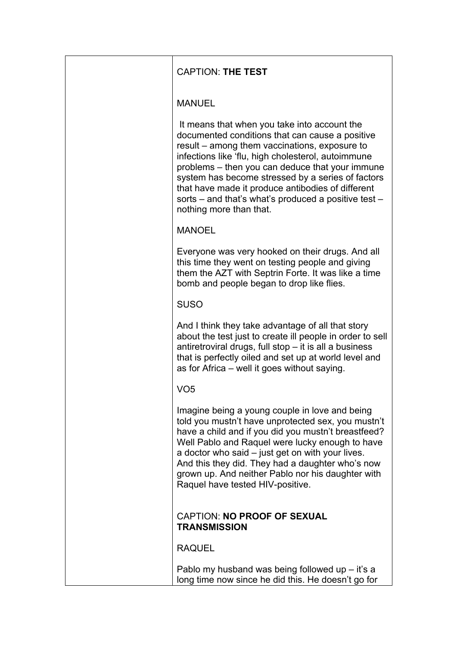| <b>CAPTION: THE TEST</b>                                                                                                                                                                                                                                                                                                                                                                                                                               |
|--------------------------------------------------------------------------------------------------------------------------------------------------------------------------------------------------------------------------------------------------------------------------------------------------------------------------------------------------------------------------------------------------------------------------------------------------------|
| <b>MANUEL</b>                                                                                                                                                                                                                                                                                                                                                                                                                                          |
| It means that when you take into account the<br>documented conditions that can cause a positive<br>result – among them vaccinations, exposure to<br>infections like 'flu, high cholesterol, autoimmune<br>problems – then you can deduce that your immune<br>system has become stressed by a series of factors<br>that have made it produce antibodies of different<br>sorts – and that's what's produced a positive test –<br>nothing more than that. |
| <b>MANOEL</b>                                                                                                                                                                                                                                                                                                                                                                                                                                          |
| Everyone was very hooked on their drugs. And all<br>this time they went on testing people and giving<br>them the AZT with Septrin Forte. It was like a time<br>bomb and people began to drop like flies.                                                                                                                                                                                                                                               |
| <b>SUSO</b>                                                                                                                                                                                                                                                                                                                                                                                                                                            |
| And I think they take advantage of all that story<br>about the test just to create ill people in order to sell<br>antiretroviral drugs, full stop - it is all a business<br>that is perfectly oiled and set up at world level and<br>as for Africa – well it goes without saying.                                                                                                                                                                      |
| VO <sub>5</sub>                                                                                                                                                                                                                                                                                                                                                                                                                                        |
| Imagine being a young couple in love and being<br>told you mustn't have unprotected sex, you mustn't<br>have a child and if you did you mustn't breastfeed?<br>Well Pablo and Raquel were lucky enough to have<br>a doctor who said – just get on with your lives.<br>And this they did. They had a daughter who's now<br>grown up. And neither Pablo nor his daughter with<br>Raquel have tested HIV-positive.                                        |
| <b>CAPTION: NO PROOF OF SEXUAL</b><br><b>TRANSMISSION</b>                                                                                                                                                                                                                                                                                                                                                                                              |
| <b>RAQUEL</b>                                                                                                                                                                                                                                                                                                                                                                                                                                          |
| Pablo my husband was being followed up $-$ it's a<br>long time now since he did this. He doesn't go for                                                                                                                                                                                                                                                                                                                                                |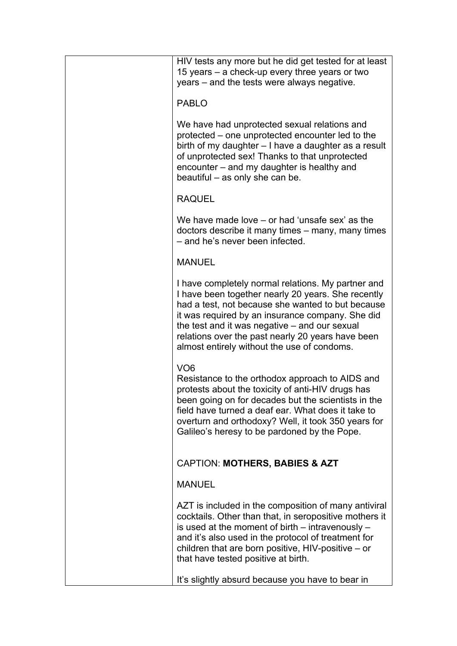| HIV tests any more but he did get tested for at least<br>15 years – a check-up every three years or two<br>years – and the tests were always negative.                                                                                                                                                                                                                 |
|------------------------------------------------------------------------------------------------------------------------------------------------------------------------------------------------------------------------------------------------------------------------------------------------------------------------------------------------------------------------|
| <b>PABLO</b>                                                                                                                                                                                                                                                                                                                                                           |
| We have had unprotected sexual relations and<br>protected – one unprotected encounter led to the<br>birth of my daughter – I have a daughter as a result<br>of unprotected sex! Thanks to that unprotected<br>encounter – and my daughter is healthy and<br>beautiful – as only she can be.                                                                            |
| <b>RAQUEL</b>                                                                                                                                                                                                                                                                                                                                                          |
| We have made love $-$ or had 'unsafe sex' as the<br>doctors describe it many times – many, many times<br>- and he's never been infected.                                                                                                                                                                                                                               |
| <b>MANUEL</b>                                                                                                                                                                                                                                                                                                                                                          |
| I have completely normal relations. My partner and<br>I have been together nearly 20 years. She recently<br>had a test, not because she wanted to but because<br>it was required by an insurance company. She did<br>the test and it was negative – and our sexual<br>relations over the past nearly 20 years have been<br>almost entirely without the use of condoms. |
| VO <sub>6</sub><br>Resistance to the orthodox approach to AIDS and<br>protests about the toxicity of anti-HIV drugs has<br>been going on for decades but the scientists in the<br>field have turned a deaf ear. What does it take to<br>overturn and orthodoxy? Well, it took 350 years for<br>Galileo's heresy to be pardoned by the Pope.                            |
| <b>CAPTION: MOTHERS, BABIES &amp; AZT</b>                                                                                                                                                                                                                                                                                                                              |
| <b>MANUEL</b>                                                                                                                                                                                                                                                                                                                                                          |
| AZT is included in the composition of many antiviral<br>cocktails. Other than that, in seropositive mothers it<br>is used at the moment of birth $-$ intravenously $-$<br>and it's also used in the protocol of treatment for<br>children that are born positive, $HIV$ -positive – or<br>that have tested positive at birth.                                          |
| It's slightly absurd because you have to bear in                                                                                                                                                                                                                                                                                                                       |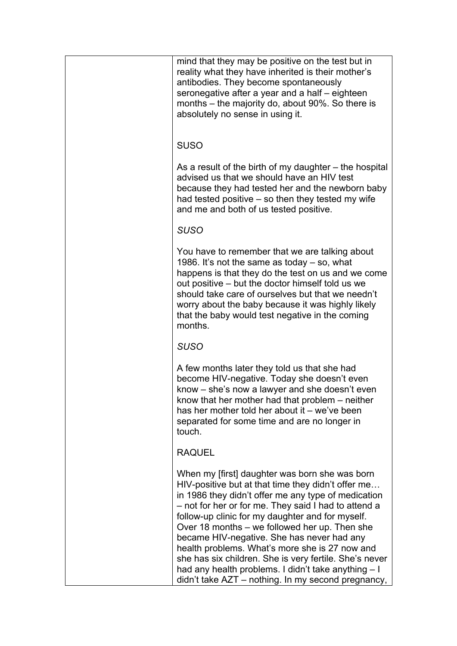| mind that they may be positive on the test but in<br>reality what they have inherited is their mother's<br>antibodies. They become spontaneously<br>seronegative after a year and a half – eighteen<br>months – the majority do, about 90%. So there is<br>absolutely no sense in using it.                                                                                                                                                                                                                                                                                                     |
|-------------------------------------------------------------------------------------------------------------------------------------------------------------------------------------------------------------------------------------------------------------------------------------------------------------------------------------------------------------------------------------------------------------------------------------------------------------------------------------------------------------------------------------------------------------------------------------------------|
| <b>SUSO</b>                                                                                                                                                                                                                                                                                                                                                                                                                                                                                                                                                                                     |
| As a result of the birth of my daughter – the hospital<br>advised us that we should have an HIV test<br>because they had tested her and the newborn baby<br>had tested positive – so then they tested my wife<br>and me and both of us tested positive.                                                                                                                                                                                                                                                                                                                                         |
| <b>SUSO</b>                                                                                                                                                                                                                                                                                                                                                                                                                                                                                                                                                                                     |
| You have to remember that we are talking about<br>1986. It's not the same as today $-$ so, what<br>happens is that they do the test on us and we come<br>out positive – but the doctor himself told us we<br>should take care of ourselves but that we needn't<br>worry about the baby because it was highly likely<br>that the baby would test negative in the coming<br>months.                                                                                                                                                                                                               |
| <b>SUSO</b>                                                                                                                                                                                                                                                                                                                                                                                                                                                                                                                                                                                     |
| A few months later they told us that she had<br>become HIV-negative. Today she doesn't even<br>know – she's now a lawyer and she doesn't even<br>know that her mother had that problem – neither<br>has her mother told her about it – we've been<br>separated for some time and are no longer in<br>touch.                                                                                                                                                                                                                                                                                     |
| <b>RAQUEL</b>                                                                                                                                                                                                                                                                                                                                                                                                                                                                                                                                                                                   |
| When my [first] daughter was born she was born<br>HIV-positive but at that time they didn't offer me<br>in 1986 they didn't offer me any type of medication<br>- not for her or for me. They said I had to attend a<br>follow-up clinic for my daughter and for myself.<br>Over 18 months – we followed her up. Then she<br>became HIV-negative. She has never had any<br>health problems. What's more she is 27 now and<br>she has six children. She is very fertile. She's never<br>had any health problems. I didn't take anything - I<br>didn't take AZT - nothing. In my second pregnancy, |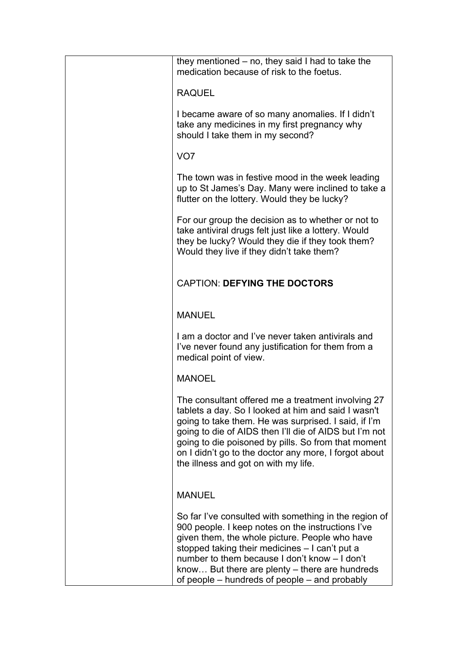| they mentioned $-$ no, they said I had to take the<br>medication because of risk to the foetus.                                                                                                                                                                                                                                                                                     |
|-------------------------------------------------------------------------------------------------------------------------------------------------------------------------------------------------------------------------------------------------------------------------------------------------------------------------------------------------------------------------------------|
| <b>RAQUEL</b>                                                                                                                                                                                                                                                                                                                                                                       |
| I became aware of so many anomalies. If I didn't<br>take any medicines in my first pregnancy why<br>should I take them in my second?                                                                                                                                                                                                                                                |
| VO <sub>7</sub>                                                                                                                                                                                                                                                                                                                                                                     |
| The town was in festive mood in the week leading<br>up to St James's Day. Many were inclined to take a<br>flutter on the lottery. Would they be lucky?                                                                                                                                                                                                                              |
| For our group the decision as to whether or not to<br>take antiviral drugs felt just like a lottery. Would<br>they be lucky? Would they die if they took them?<br>Would they live if they didn't take them?                                                                                                                                                                         |
| <b>CAPTION: DEFYING THE DOCTORS</b>                                                                                                                                                                                                                                                                                                                                                 |
| <b>MANUEL</b>                                                                                                                                                                                                                                                                                                                                                                       |
| I am a doctor and I've never taken antivirals and<br>I've never found any justification for them from a<br>medical point of view.                                                                                                                                                                                                                                                   |
| <b>MANOEL</b>                                                                                                                                                                                                                                                                                                                                                                       |
| The consultant offered me a treatment involving 27<br>tablets a day. So I looked at him and said I wasn't<br>going to take them. He was surprised. I said, if I'm<br>going to die of AIDS then I'll die of AIDS but I'm not<br>going to die poisoned by pills. So from that moment<br>on I didn't go to the doctor any more, I forgot about<br>the illness and got on with my life. |
| <b>MANUEL</b>                                                                                                                                                                                                                                                                                                                                                                       |
| So far I've consulted with something in the region of<br>900 people. I keep notes on the instructions I've<br>given them, the whole picture. People who have<br>stopped taking their medicines - I can't put a<br>number to them because I don't know - I don't<br>know But there are plenty – there are hundreds<br>of people – hundreds of people – and probably                  |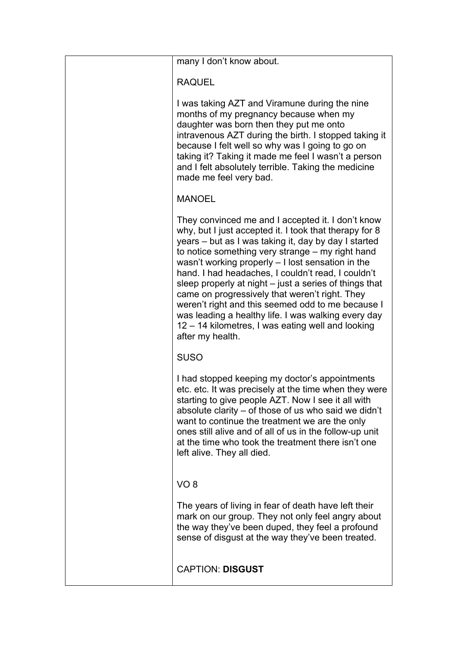| many I don't know about.                                                                                                                                                                                                                                                                                                                                                                                                                                                                                                                                                                                                             |
|--------------------------------------------------------------------------------------------------------------------------------------------------------------------------------------------------------------------------------------------------------------------------------------------------------------------------------------------------------------------------------------------------------------------------------------------------------------------------------------------------------------------------------------------------------------------------------------------------------------------------------------|
| <b>RAQUEL</b>                                                                                                                                                                                                                                                                                                                                                                                                                                                                                                                                                                                                                        |
| I was taking AZT and Viramune during the nine<br>months of my pregnancy because when my<br>daughter was born then they put me onto<br>intravenous AZT during the birth. I stopped taking it<br>because I felt well so why was I going to go on<br>taking it? Taking it made me feel I wasn't a person<br>and I felt absolutely terrible. Taking the medicine<br>made me feel very bad.                                                                                                                                                                                                                                               |
| <b>MANOEL</b>                                                                                                                                                                                                                                                                                                                                                                                                                                                                                                                                                                                                                        |
| They convinced me and I accepted it. I don't know<br>why, but I just accepted it. I took that therapy for 8<br>years – but as I was taking it, day by day I started<br>to notice something very strange – my right hand<br>wasn't working properly $-1$ lost sensation in the<br>hand. I had headaches, I couldn't read, I couldn't<br>sleep properly at night – just a series of things that<br>came on progressively that weren't right. They<br>weren't right and this seemed odd to me because I<br>was leading a healthy life. I was walking every day<br>12 – 14 kilometres, I was eating well and looking<br>after my health. |
| <b>SUSO</b>                                                                                                                                                                                                                                                                                                                                                                                                                                                                                                                                                                                                                          |
| I had stopped keeping my doctor's appointments<br>etc. etc. It was precisely at the time when they were<br>starting to give people AZT. Now I see it all with<br>absolute clarity – of those of us who said we didn't<br>want to continue the treatment we are the only<br>ones still alive and of all of us in the follow-up unit<br>at the time who took the treatment there isn't one<br>left alive. They all died.                                                                                                                                                                                                               |
| VO <sub>8</sub>                                                                                                                                                                                                                                                                                                                                                                                                                                                                                                                                                                                                                      |
| The years of living in fear of death have left their<br>mark on our group. They not only feel angry about<br>the way they've been duped, they feel a profound<br>sense of disgust at the way they've been treated.                                                                                                                                                                                                                                                                                                                                                                                                                   |
| <b>CAPTION: DISGUST</b>                                                                                                                                                                                                                                                                                                                                                                                                                                                                                                                                                                                                              |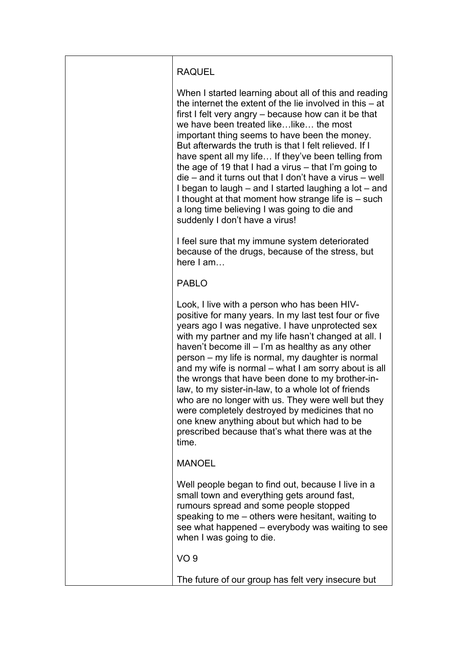| <b>RAQUEL</b>                                                                                                                                                                                                                                                                                                                                                                                                                                                                                                                                                                                                                                                                                                      |
|--------------------------------------------------------------------------------------------------------------------------------------------------------------------------------------------------------------------------------------------------------------------------------------------------------------------------------------------------------------------------------------------------------------------------------------------------------------------------------------------------------------------------------------------------------------------------------------------------------------------------------------------------------------------------------------------------------------------|
| When I started learning about all of this and reading<br>the internet the extent of the lie involved in this $-$ at<br>first I felt very angry – because how can it be that<br>we have been treated like like the most<br>important thing seems to have been the money.<br>But afterwards the truth is that I felt relieved. If I<br>have spent all my life If they've been telling from<br>the age of 19 that I had a virus - that I'm going to<br>die – and it turns out that I don't have a virus – well<br>I began to laugh – and I started laughing a lot – and<br>I thought at that moment how strange life is - such<br>a long time believing I was going to die and<br>suddenly I don't have a virus!      |
| I feel sure that my immune system deteriorated<br>because of the drugs, because of the stress, but<br>here I am                                                                                                                                                                                                                                                                                                                                                                                                                                                                                                                                                                                                    |
| <b>PABLO</b>                                                                                                                                                                                                                                                                                                                                                                                                                                                                                                                                                                                                                                                                                                       |
| Look, I live with a person who has been HIV-<br>positive for many years. In my last test four or five<br>years ago I was negative. I have unprotected sex<br>with my partner and my life hasn't changed at all. I<br>haven't become ill $-$ I'm as healthy as any other<br>person – my life is normal, my daughter is normal<br>and my wife is normal – what I am sorry about is all<br>the wrongs that have been done to my brother-in-<br>law, to my sister-in-law, to a whole lot of friends<br>who are no longer with us. They were well but they<br>were completely destroyed by medicines that no<br>one knew anything about but which had to be<br>prescribed because that's what there was at the<br>time. |
| <b>MANOEL</b>                                                                                                                                                                                                                                                                                                                                                                                                                                                                                                                                                                                                                                                                                                      |
| Well people began to find out, because I live in a<br>small town and everything gets around fast,<br>rumours spread and some people stopped<br>speaking to me - others were hesitant, waiting to<br>see what happened – everybody was waiting to see<br>when I was going to die.                                                                                                                                                                                                                                                                                                                                                                                                                                   |
| VO <sub>9</sub>                                                                                                                                                                                                                                                                                                                                                                                                                                                                                                                                                                                                                                                                                                    |
| The future of our group has felt very insecure but                                                                                                                                                                                                                                                                                                                                                                                                                                                                                                                                                                                                                                                                 |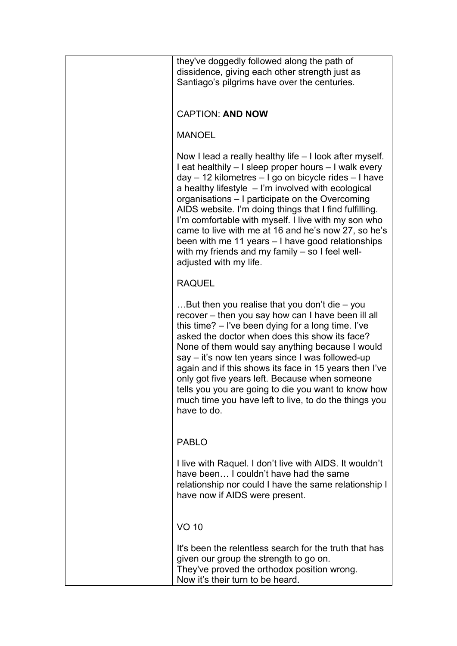| they've doggedly followed along the path of<br>dissidence, giving each other strength just as<br>Santiago's pilgrims have over the centuries.                                                                                                                                                                                                                                                                                                                                                                                                                                                  |
|------------------------------------------------------------------------------------------------------------------------------------------------------------------------------------------------------------------------------------------------------------------------------------------------------------------------------------------------------------------------------------------------------------------------------------------------------------------------------------------------------------------------------------------------------------------------------------------------|
| <b>CAPTION: AND NOW</b>                                                                                                                                                                                                                                                                                                                                                                                                                                                                                                                                                                        |
| <b>MANOEL</b>                                                                                                                                                                                                                                                                                                                                                                                                                                                                                                                                                                                  |
| Now I lead a really healthy life – I look after myself.<br>I eat healthily – I sleep proper hours – I walk every<br>day - 12 kilometres - I go on bicycle rides - I have<br>a healthy lifestyle $-1$ 'm involved with ecological<br>organisations – I participate on the Overcoming<br>AIDS website. I'm doing things that I find fulfilling.<br>I'm comfortable with myself. I live with my son who<br>came to live with me at 16 and he's now 27, so he's<br>been with me 11 years $-1$ have good relationships<br>with my friends and my family - so I feel well-<br>adjusted with my life. |
| <b>RAQUEL</b>                                                                                                                                                                                                                                                                                                                                                                                                                                                                                                                                                                                  |
| But then you realise that you don't die $-$ you<br>recover – then you say how can I have been ill all<br>this time? – I've been dying for a long time. I've<br>asked the doctor when does this show its face?<br>None of them would say anything because I would<br>say – it's now ten years since I was followed-up<br>again and if this shows its face in 15 years then I've<br>only got five years left. Because when someone<br>tells you you are going to die you want to know how<br>much time you have left to live, to do the things you<br>have to do.                                |
| <b>PABLO</b>                                                                                                                                                                                                                                                                                                                                                                                                                                                                                                                                                                                   |
| I live with Raquel. I don't live with AIDS. It wouldn't<br>have been I couldn't have had the same<br>relationship nor could I have the same relationship I<br>have now if AIDS were present.                                                                                                                                                                                                                                                                                                                                                                                                   |
| <b>VO 10</b>                                                                                                                                                                                                                                                                                                                                                                                                                                                                                                                                                                                   |
| It's been the relentless search for the truth that has<br>given our group the strength to go on.<br>They've proved the orthodox position wrong.<br>Now it's their turn to be heard.                                                                                                                                                                                                                                                                                                                                                                                                            |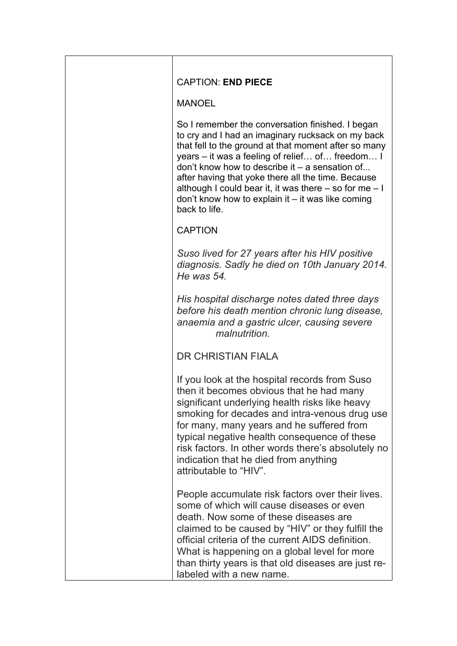| <b>CAPTION: END PIECE</b>                                                                                                                                                                                                                                                                                                                                                                                                                                       |
|-----------------------------------------------------------------------------------------------------------------------------------------------------------------------------------------------------------------------------------------------------------------------------------------------------------------------------------------------------------------------------------------------------------------------------------------------------------------|
| <b>MANOEL</b>                                                                                                                                                                                                                                                                                                                                                                                                                                                   |
| So I remember the conversation finished. I began<br>to cry and I had an imaginary rucksack on my back<br>that fell to the ground at that moment after so many<br>years – it was a feeling of relief of freedom I<br>don't know how to describe it $-$ a sensation of<br>after having that yoke there all the time. Because<br>although I could bear it, it was there $-$ so for me $-1$<br>don't know how to explain it $-$ it was like coming<br>back to life. |
| <b>CAPTION</b>                                                                                                                                                                                                                                                                                                                                                                                                                                                  |
| Suso lived for 27 years after his HIV positive<br>diagnosis. Sadly he died on 10th January 2014.<br>He was 54.                                                                                                                                                                                                                                                                                                                                                  |
| His hospital discharge notes dated three days<br>before his death mention chronic lung disease,<br>anaemia and a gastric ulcer, causing severe<br>malnutrition.                                                                                                                                                                                                                                                                                                 |
| <b>DR CHRISTIAN FIALA</b>                                                                                                                                                                                                                                                                                                                                                                                                                                       |
| If you look at the hospital records from Suso<br>then it becomes obvious that he had many<br>significant underlying health risks like heavy<br>smoking for decades and intra-venous drug use<br>for many, many years and he suffered from<br>typical negative health consequence of these<br>risk factors. In other words there's absolutely no<br>indication that he died from anything<br>attributable to "HIV".                                              |
| People accumulate risk factors over their lives.<br>some of which will cause diseases or even<br>death. Now some of these diseases are<br>claimed to be caused by "HIV" or they fulfill the<br>official criteria of the current AIDS definition.<br>What is happening on a global level for more<br>than thirty years is that old diseases are just re-<br>labeled with a new name.                                                                             |